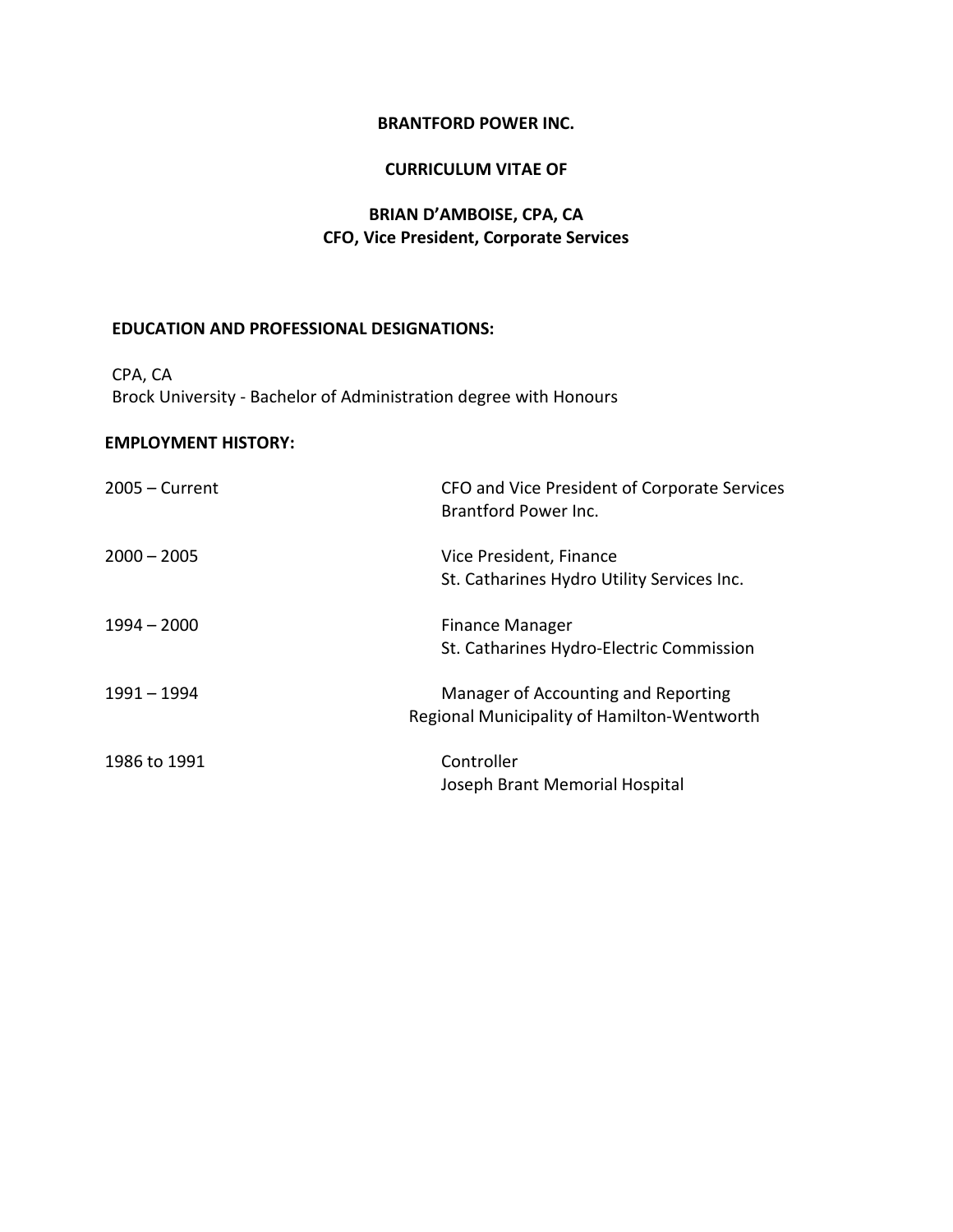#### **CURRICULUM VITAE OF**

# **BRIAN D'AMBOISE, CPA, CA CFO, Vice President, Corporate Services**

# **EDUCATION AND PROFESSIONAL DESIGNATIONS:**

CPA, CA Brock University - Bachelor of Administration degree with Honours

# **EMPLOYMENT HISTORY:**

| $2005 -$ Current | CFO and Vice President of Corporate Services<br>Brantford Power Inc. |
|------------------|----------------------------------------------------------------------|
| $2000 - 2005$    | Vice President, Finance                                              |
|                  | St. Catharines Hydro Utility Services Inc.                           |
| $1994 - 2000$    | <b>Finance Manager</b>                                               |
|                  | St. Catharines Hydro-Electric Commission                             |
| 1991 - 1994      | Manager of Accounting and Reporting                                  |
|                  | Regional Municipality of Hamilton-Wentworth                          |
| 1986 to 1991     | Controller                                                           |
|                  | Joseph Brant Memorial Hospital                                       |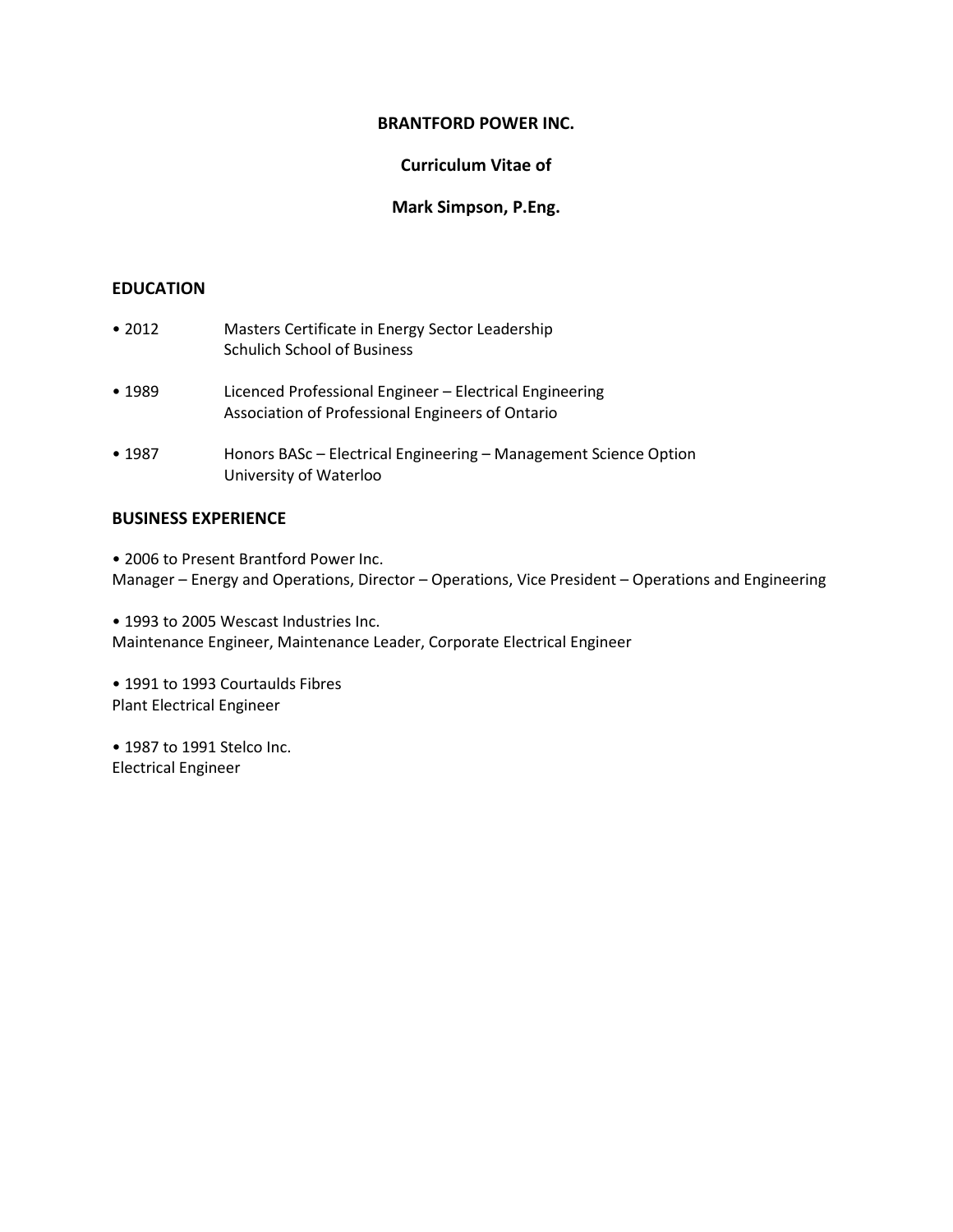# **Curriculum Vitae of**

# **Mark Simpson, P.Eng.**

# **EDUCATION**

| $\cdot$ 2012 | Masters Certificate in Energy Sector Leadership<br><b>Schulich School of Business</b>                       |
|--------------|-------------------------------------------------------------------------------------------------------------|
| •1989        | Licenced Professional Engineer – Electrical Engineering<br>Association of Professional Engineers of Ontario |
| • 1987       | Honors BASc – Electrical Engineering – Management Science Option<br>University of Waterloo                  |

# **BUSINESS EXPERIENCE**

• 2006 to Present Brantford Power Inc. Manager – Energy and Operations, Director – Operations, Vice President – Operations and Engineering

• 1993 to 2005 Wescast Industries Inc. Maintenance Engineer, Maintenance Leader, Corporate Electrical Engineer

• 1991 to 1993 Courtaulds Fibres Plant Electrical Engineer

• 1987 to 1991 Stelco Inc. Electrical Engineer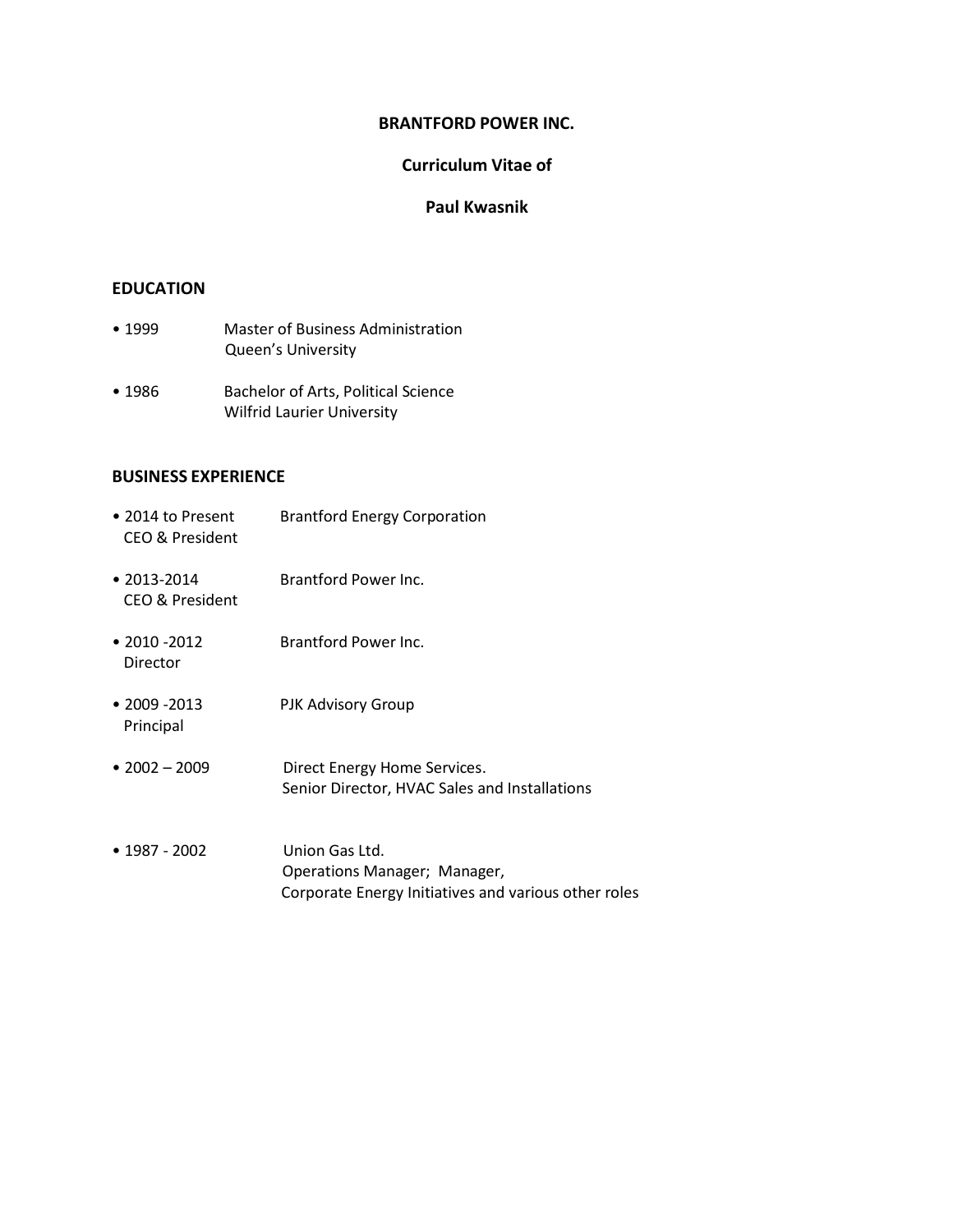## **Curriculum Vitae of**

### **Paul Kwasnik**

#### **EDUCATION**

- 1999 Master of Business Administration Queen's University
- 1986 Bachelor of Arts, Political Science Wilfrid Laurier University

#### **BUSINESS EXPERIENCE**

- 2014 to Present Brantford Energy Corporation CEO & President • 2013-2014 Brantford Power Inc. CEO & President • 2010 -2012 Brantford Power Inc. Director • 2009 -2013 PJK Advisory Group Principal
- 2002 2009 Direct Energy Home Services. Senior Director, HVAC Sales and Installations
- 1987 2002 Union Gas Ltd. Operations Manager; Manager, Corporate Energy Initiatives and various other roles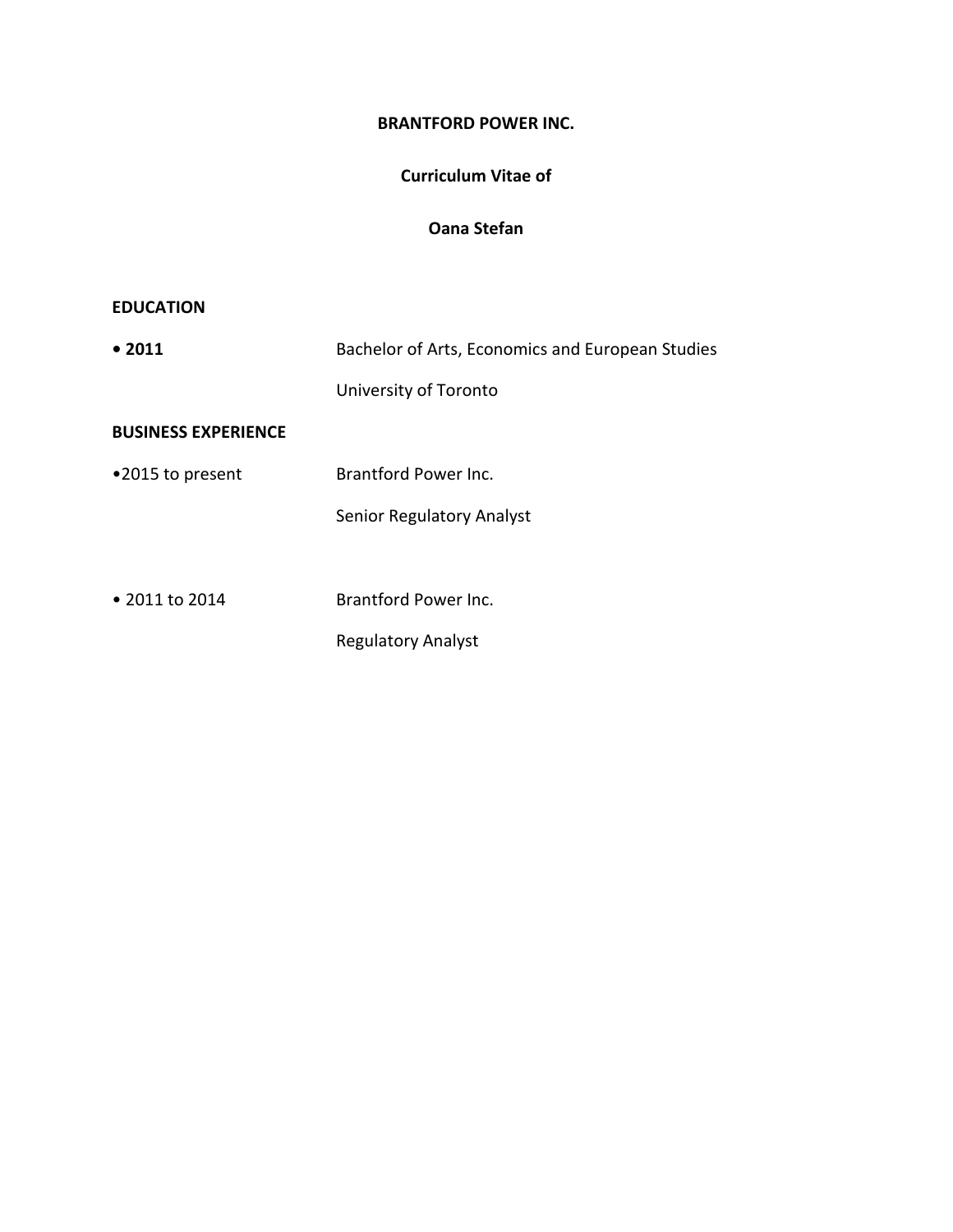# **Curriculum Vitae of**

# **Oana Stefan**

# **EDUCATION**

| • 2011                     | Bachelor of Arts, Economics and European Studies |
|----------------------------|--------------------------------------------------|
|                            | University of Toronto                            |
| <b>BUSINESS EXPERIENCE</b> |                                                  |
| •2015 to present           | Brantford Power Inc.                             |
|                            | Senior Regulatory Analyst                        |
|                            |                                                  |
| • 2011 to 2014             | Brantford Power Inc.                             |
|                            | <b>Regulatory Analyst</b>                        |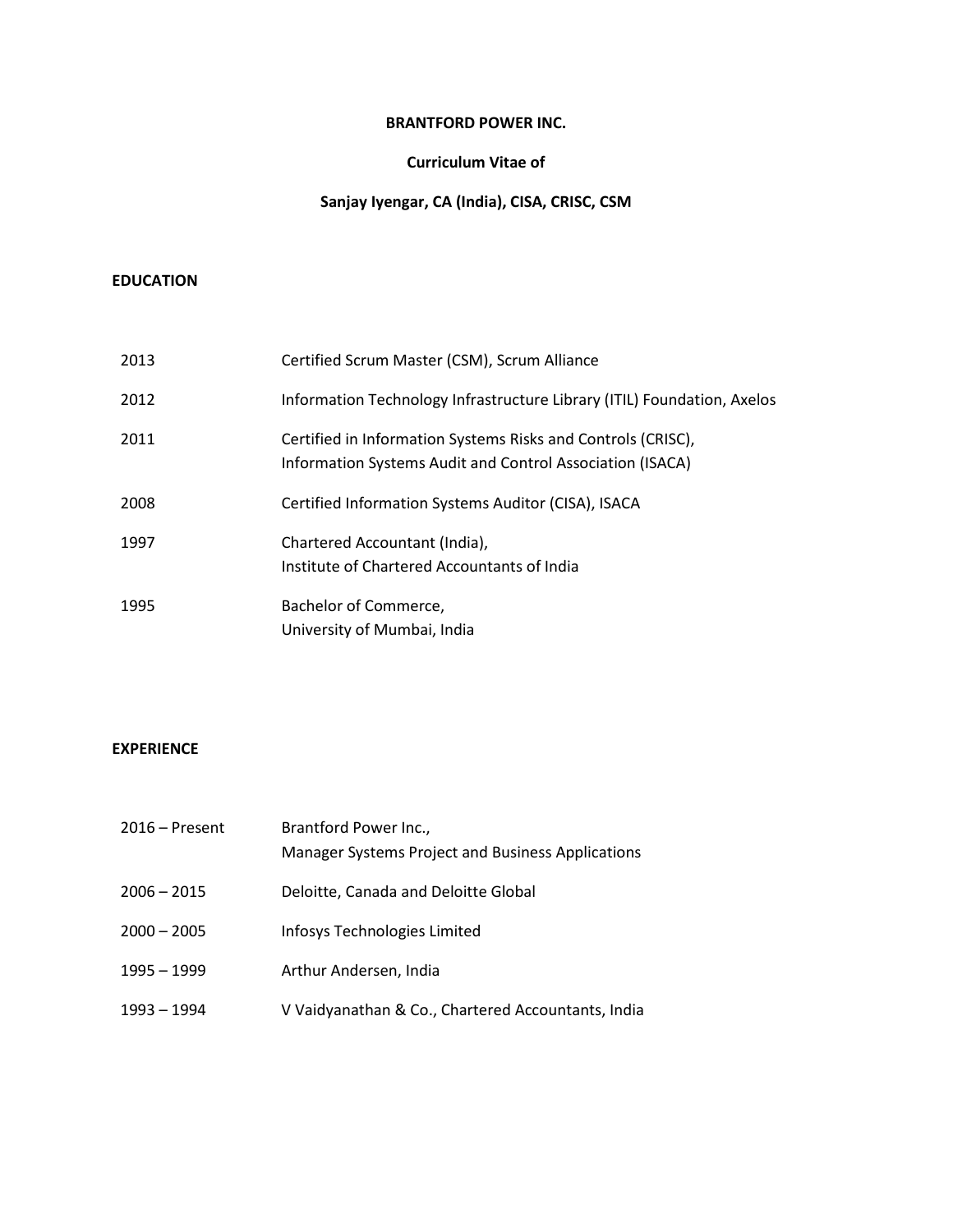#### **Curriculum Vitae of**

# **Sanjay Iyengar, CA (India), CISA, CRISC, CSM**

### **EDUCATION**

| 2013 | Certified Scrum Master (CSM), Scrum Alliance                                                                              |
|------|---------------------------------------------------------------------------------------------------------------------------|
| 2012 | Information Technology Infrastructure Library (ITIL) Foundation, Axelos                                                   |
| 2011 | Certified in Information Systems Risks and Controls (CRISC),<br>Information Systems Audit and Control Association (ISACA) |
| 2008 | Certified Information Systems Auditor (CISA), ISACA                                                                       |
| 1997 | Chartered Accountant (India),<br>Institute of Chartered Accountants of India                                              |
| 1995 | Bachelor of Commerce,<br>University of Mumbai, India                                                                      |

# **EXPERIENCE**

| $2016$ – Present | Brantford Power Inc.,<br>Manager Systems Project and Business Applications |
|------------------|----------------------------------------------------------------------------|
| $2006 - 2015$    | Deloitte, Canada and Deloitte Global                                       |
| $2000 - 2005$    | Infosys Technologies Limited                                               |
| $1995 - 1999$    | Arthur Andersen, India                                                     |
| $1993 - 1994$    | V Vaidyanathan & Co., Chartered Accountants, India                         |